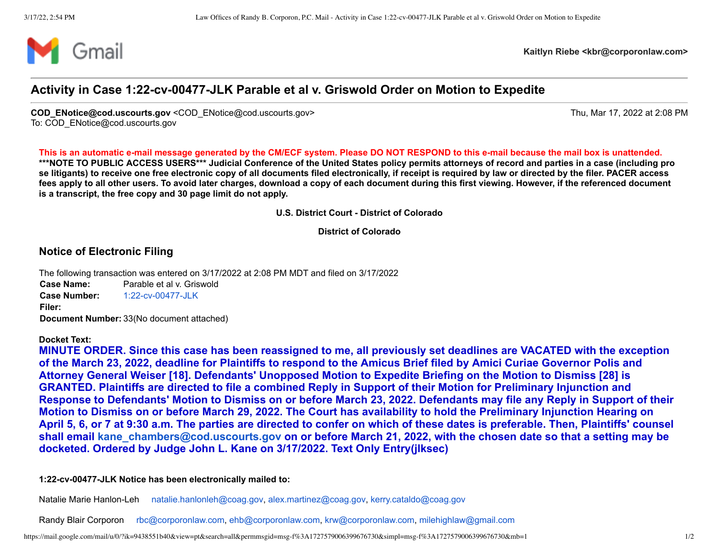

**Kaitlyn Riebe <kbr@corporonlaw.com>**

## **Activity in Case 1:22-cv-00477-JLK Parable et al v. Griswold Order on Motion to Expedite**

**COD\_ENotice@cod.uscourts.gov** <COD\_ENotice@cod.uscourts.gov> Thu, Mar 17, 2022 at 2:08 PM To: COD\_ENotice@cod.uscourts.gov

**This is an automatic e-mail message generated by the CM/ECF system. Please DO NOT RESPOND to this e-mail because the mail box is unattended. \*\*\*NOTE TO PUBLIC ACCESS USERS\*\*\* Judicial Conference of the United States policy permits attorneys of record and parties in a case (including pro se litigants) to receive one free electronic copy of all documents filed electronically, if receipt is required by law or directed by the filer. PACER access fees apply to all other users. To avoid later charges, download a copy of each document during this first viewing. However, if the referenced document is a transcript, the free copy and 30 page limit do not apply.**

**U.S. District Court - District of Colorado**

**District of Colorado**

## **Notice of Electronic Filing**

The following transaction was entered on 3/17/2022 at 2:08 PM MDT and filed on 3/17/2022 **Case Name:** Parable et al v. Griswold **Case Number:** [1:22-cv-00477-JLK](https://ecf.cod.uscourts.gov/cgi-bin/DktRpt.pl?213459) **Filer: Document Number:** 33(No document attached)

**Docket Text:**

**MINUTE ORDER. Since this case has been reassigned to me, all previously set deadlines are VACATED with the exception of the March 23, 2022, deadline for Plaintiffs to respond to the Amicus Brief filed by Amici Curiae Governor Polis and Attorney General Weiser [18]. Defendants' Unopposed Motion to Expedite Briefing on the Motion to Dismiss [28] is GRANTED. Plaintiffs are directed to file a combined Reply in Support of their Motion for Preliminary Injunction and Response to Defendants' Motion to Dismiss on or before March 23, 2022. Defendants may file any Reply in Support of their Motion to Dismiss on or before March 29, 2022. The Court has availability to hold the Preliminary Injunction Hearing on April 5, 6, or 7 at 9:30 a.m. The parties are directed to confer on which of these dates is preferable. Then, Plaintiffs' counsel shall email [kane\\_chambers@cod.uscourts.gov](mailto:kane_chambers@cod.uscourts.gov) on or before March 21, 2022, with the chosen date so that a setting may be docketed. Ordered by Judge John L. Kane on 3/17/2022. Text Only Entry(jlksec)**

**1:22-cv-00477-JLK Notice has been electronically mailed to:**

Natalie Marie Hanlon-Leh [natalie.hanlonleh@coag.gov,](mailto:natalie.hanlonleh@coag.gov) [alex.martinez@coag.gov](mailto:alex.martinez@coag.gov), [kerry.cataldo@coag.gov](mailto:kerry.cataldo@coag.gov)

Randy Blair Corporon [rbc@corporonlaw.com,](mailto:rbc@corporonlaw.com) [ehb@corporonlaw.com,](mailto:ehb@corporonlaw.com) [krw@corporonlaw.com](mailto:krw@corporonlaw.com), [milehighlaw@gmail.com](mailto:milehighlaw@gmail.com)